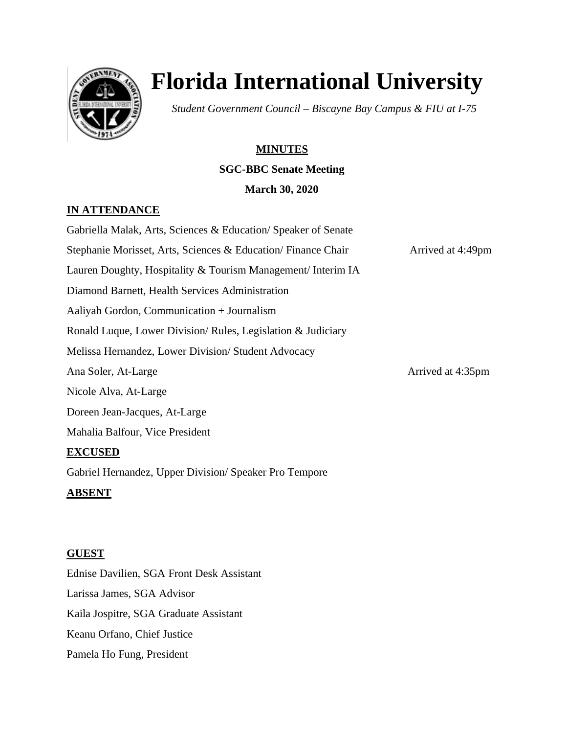

# **Florida International University**

*Student Government Council – Biscayne Bay Campus & FIU at I-75*

## **MINUTES**

## **SGC-BBC Senate Meeting**

### **March 30, 2020**

## **IN ATTENDANCE**

Gabriella Malak, Arts, Sciences & Education/ Speaker of Senate Stephanie Morisset, Arts, Sciences & Education/ Finance Chair Arrived at 4:49pm Lauren Doughty, Hospitality & Tourism Management/ Interim IA Diamond Barnett, Health Services Administration Aaliyah Gordon, Communication + Journalism Ronald Luque, Lower Division/ Rules, Legislation & Judiciary Melissa Hernandez, Lower Division/ Student Advocacy Ana Soler, At-Large Arrived at 4:35pm Nicole Alva, At-Large Doreen Jean-Jacques, At-Large Mahalia Balfour, Vice President **EXCUSED** Gabriel Hernandez, Upper Division/ Speaker Pro Tempore **ABSENT** 

## **GUEST**

Ednise Davilien, SGA Front Desk Assistant Larissa James, SGA Advisor Kaila Jospitre, SGA Graduate Assistant Keanu Orfano, Chief Justice Pamela Ho Fung, President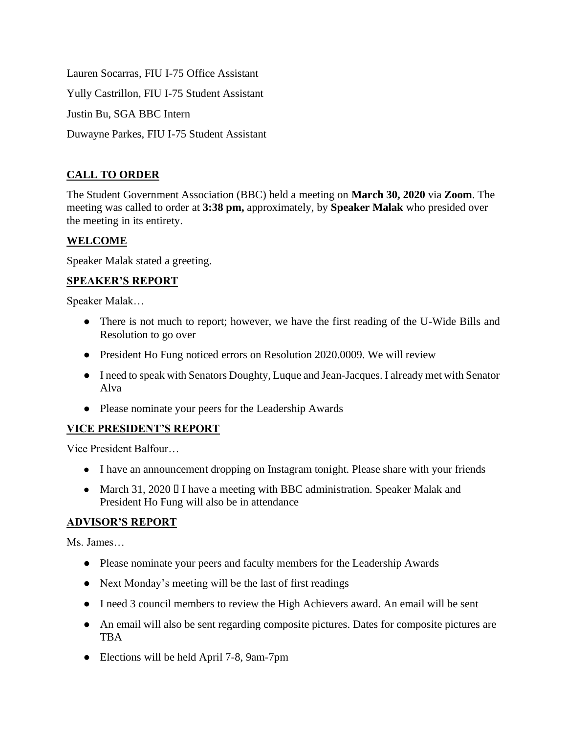Lauren Socarras, FIU I-75 Office Assistant Yully Castrillon, FIU I-75 Student Assistant Justin Bu, SGA BBC Intern Duwayne Parkes, FIU I-75 Student Assistant

## **CALL TO ORDER**

The Student Government Association (BBC) held a meeting on **March 30, 2020** via **Zoom**. The meeting was called to order at **3:38 pm,** approximately, by **Speaker Malak** who presided over the meeting in its entirety.

## **WELCOME**

Speaker Malak stated a greeting.

## **SPEAKER'S REPORT**

Speaker Malak…

- There is not much to report; however, we have the first reading of the U-Wide Bills and Resolution to go over
- President Ho Fung noticed errors on Resolution 2020.0009. We will review
- I need to speak with Senators Doughty, Luque and Jean-Jacques. I already met with Senator Alva
- Please nominate your peers for the Leadership Awards

## **VICE PRESIDENT'S REPORT**

Vice President Balfour…

- I have an announcement dropping on Instagram tonight. Please share with your friends
- March 31, 2020 I I have a meeting with BBC administration. Speaker Malak and President Ho Fung will also be in attendance

## **ADVISOR'S REPORT**

Ms. James…

- Please nominate your peers and faculty members for the Leadership Awards
- Next Monday's meeting will be the last of first readings
- I need 3 council members to review the High Achievers award. An email will be sent
- An email will also be sent regarding composite pictures. Dates for composite pictures are TBA
- Elections will be held April 7-8, 9am-7pm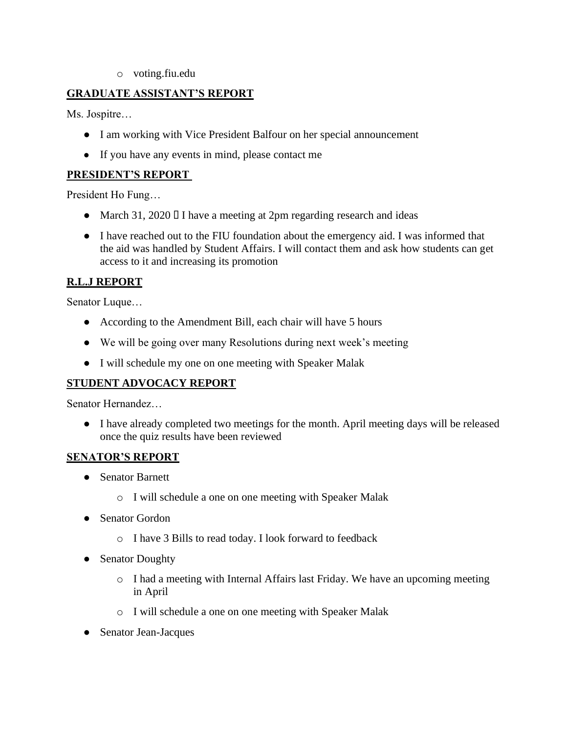o voting.fiu.edu

### **GRADUATE ASSISTANT'S REPORT**

Ms. Jospitre…

- I am working with Vice President Balfour on her special announcement
- If you have any events in mind, please contact me

#### **PRESIDENT'S REPORT**

President Ho Fung…

- March 31, 2020 I I have a meeting at 2pm regarding research and ideas
- I have reached out to the FIU foundation about the emergency aid. I was informed that the aid was handled by Student Affairs. I will contact them and ask how students can get access to it and increasing its promotion

### **R.L.J REPORT**

Senator Luque…

- According to the Amendment Bill, each chair will have 5 hours
- We will be going over many Resolutions during next week's meeting
- I will schedule my one on one meeting with Speaker Malak

### **STUDENT ADVOCACY REPORT**

Senator Hernandez…

● I have already completed two meetings for the month. April meeting days will be released once the quiz results have been reviewed

#### **SENATOR'S REPORT**

- Senator Barnett
	- o I will schedule a one on one meeting with Speaker Malak
- Senator Gordon
	- o I have 3 Bills to read today. I look forward to feedback
- Senator Doughty
	- o I had a meeting with Internal Affairs last Friday. We have an upcoming meeting in April
	- o I will schedule a one on one meeting with Speaker Malak
- Senator Jean-Jacques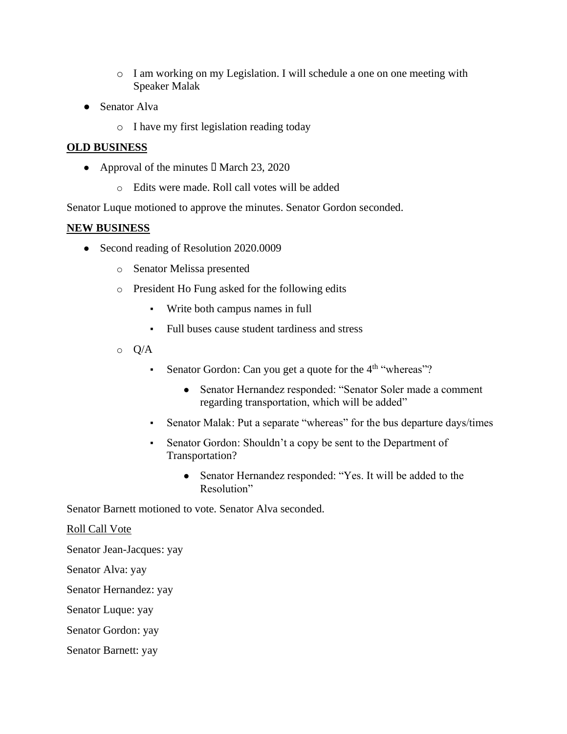- o I am working on my Legislation. I will schedule a one on one meeting with Speaker Malak
- Senator Alva
	- o I have my first legislation reading today

#### **OLD BUSINESS**

- Approval of the minutes  $\Box$  March 23, 2020
	- o Edits were made. Roll call votes will be added

Senator Luque motioned to approve the minutes. Senator Gordon seconded.

#### **NEW BUSINESS**

- Second reading of Resolution 2020.0009
	- o Senator Melissa presented
	- o President Ho Fung asked for the following edits
		- Write both campus names in full
		- Full buses cause student tardiness and stress
	- $\circ$  Q/A
		- **•** Senator Gordon: Can you get a quote for the  $4<sup>th</sup>$  "whereas"?
			- Senator Hernandez responded: "Senator Soler made a comment regarding transportation, which will be added"
		- Senator Malak: Put a separate "whereas" for the bus departure days/times
		- Senator Gordon: Shouldn't a copy be sent to the Department of Transportation?
			- Senator Hernandez responded: "Yes. It will be added to the Resolution"

Senator Barnett motioned to vote. Senator Alva seconded.

#### Roll Call Vote

Senator Jean-Jacques: yay

Senator Alva: yay

Senator Hernandez: yay

Senator Luque: yay

Senator Gordon: yay

Senator Barnett: yay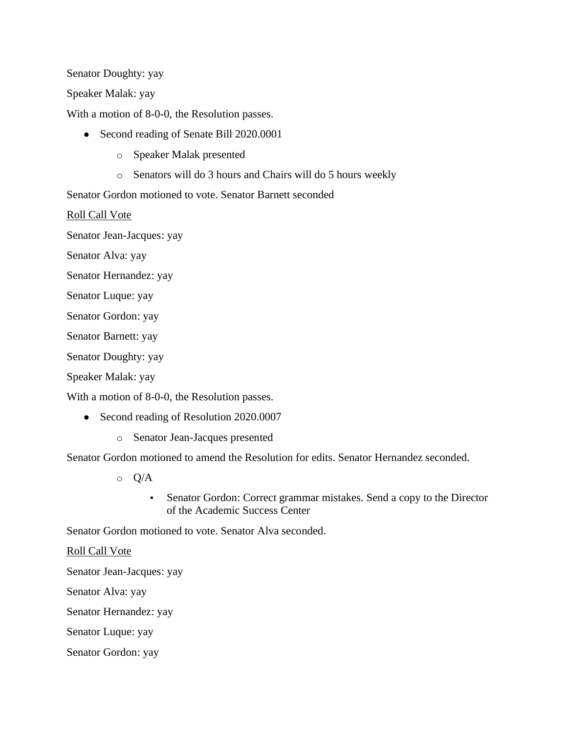Senator Doughty: yay

Speaker Malak: yay

With a motion of 8-0-0, the Resolution passes.

- Second reading of Senate Bill 2020.0001
	- o Speaker Malak presented
	- o Senators will do 3 hours and Chairs will do 5 hours weekly

Senator Gordon motioned to vote. Senator Barnett seconded

Roll Call Vote

Senator Jean-Jacques: yay

Senator Alva: yay

- Senator Hernandez: yay
- Senator Luque: yay

Senator Gordon: yay

Senator Barnett: yay

Senator Doughty: yay

Speaker Malak: yay

With a motion of 8-0-0, the Resolution passes.

- Second reading of Resolution 2020.0007
	- o Senator Jean-Jacques presented

Senator Gordon motioned to amend the Resolution for edits. Senator Hernandez seconded.

- o Q/A
	- Senator Gordon: Correct grammar mistakes. Send a copy to the Director of the Academic Success Center

Senator Gordon motioned to vote. Senator Alva seconded.

#### Roll Call Vote

Senator Jean-Jacques: yay

Senator Alva: yay

Senator Hernandez: yay

Senator Luque: yay

Senator Gordon: yay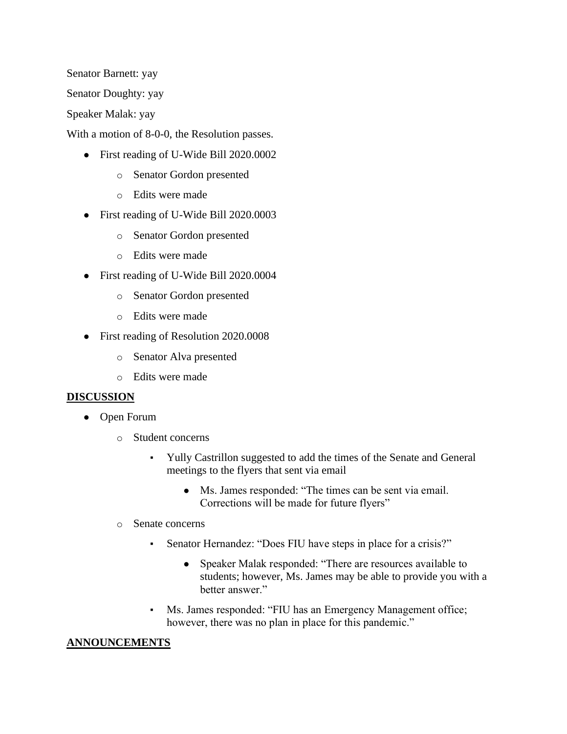Senator Barnett: yay

Senator Doughty: yay

Speaker Malak: yay

With a motion of 8-0-0, the Resolution passes.

- First reading of U-Wide Bill 2020.0002
	- o Senator Gordon presented
	- o Edits were made
- First reading of U-Wide Bill 2020.0003
	- o Senator Gordon presented
	- o Edits were made
- First reading of U-Wide Bill 2020.0004
	- o Senator Gordon presented
	- o Edits were made
- First reading of Resolution 2020.0008
	- o Senator Alva presented
	- o Edits were made

#### **DISCUSSION**

- Open Forum
	- o Student concerns
		- Yully Castrillon suggested to add the times of the Senate and General meetings to the flyers that sent via email
			- Ms. James responded: "The times can be sent via email. Corrections will be made for future flyers"
	- o Senate concerns
		- Senator Hernandez: "Does FIU have steps in place for a crisis?"
			- Speaker Malak responded: "There are resources available to students; however, Ms. James may be able to provide you with a better answer."
		- Ms. James responded: "FIU has an Emergency Management office; however, there was no plan in place for this pandemic."

#### **ANNOUNCEMENTS**